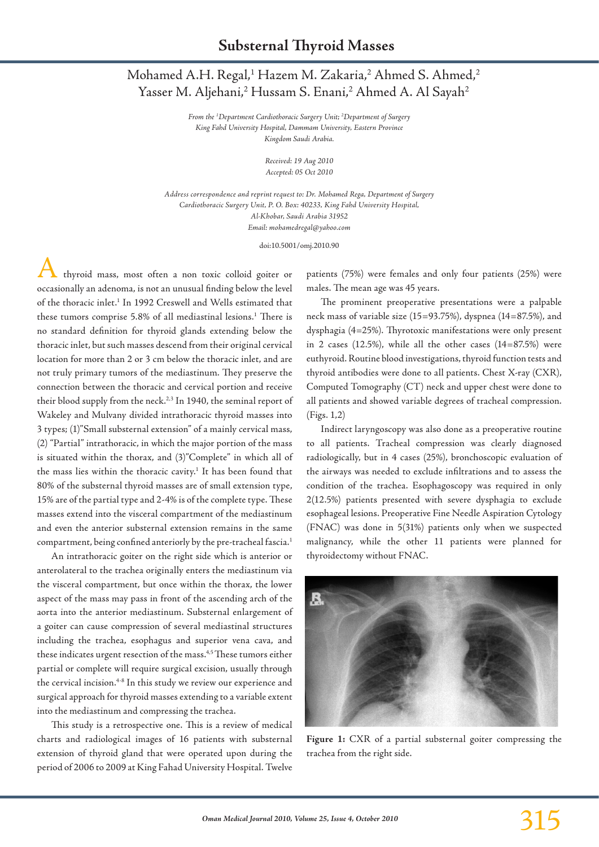## Mohamed A.H. Regal,<sup>1</sup> Hazem M. Zakaria,<sup>2</sup> Ahmed S. Ahmed,<sup>2</sup> Yasser M. Aljehani,<sup>2</sup> Hussam S. Enani,<sup>2</sup> Ahmed A. Al Sayah<sup>2</sup>

*From the 1 Department Cardiothoracic Surgery Unit; 2 Department of Surgery King Fahd University Hospital, Dammam University, Eastern Province Kingdom Saudi Arabia.*

> *Received: 19 Aug 2010 Accepted: 05 Oct 2010*

*Address correspondence and reprint request to: Dr. Mohamed Rega, Department of Surgery Cardiothoracic Surgery Unit, P. O. Box: 40233, King Fahd University Hospital, Al-Khobar, Saudi Arabia 31952 Email: mohamedregal@yahoo.com*

doi:10.5001/omj.2010.90

thyroid mass, most often a non toxic colloid goiter or occasionally an adenoma, is not an unusual finding below the level of the thoracic inlet.1 In 1992 Creswell and Wells estimated that these tumors comprise 5.8% of all mediastinal lesions.<sup>1</sup> There is no standard definition for thyroid glands extending below the thoracic inlet, but such masses descend from their original cervical location for more than 2 or 3 cm below the thoracic inlet, and are not truly primary tumors of the mediastinum. They preserve the connection between the thoracic and cervical portion and receive their blood supply from the neck.<sup>2,3</sup> In 1940, the seminal report of Wakeley and Mulvany divided intrathoracic thyroid masses into 3 types; (1)"Small substernal extension" of a mainly cervical mass, (2) "Partial" intrathoracic, in which the major portion of the mass is situated within the thorax, and (3)"Complete" in which all of the mass lies within the thoracic cavity.<sup>1</sup> It has been found that 80% of the substernal thyroid masses are of small extension type, 15% are of the partial type and 2-4% is of the complete type. These masses extend into the visceral compartment of the mediastinum and even the anterior substernal extension remains in the same compartment, being confined anteriorly by the pre-tracheal fascia.1

An intrathoracic goiter on the right side which is anterior or anterolateral to the trachea originally enters the mediastinum via the visceral compartment, but once within the thorax, the lower aspect of the mass may pass in front of the ascending arch of the aorta into the anterior mediastinum. Substernal enlargement of a goiter can cause compression of several mediastinal structures including the trachea, esophagus and superior vena cava, and these indicates urgent resection of the mass.<sup>4,5</sup> These tumors either partial or complete will require surgical excision, usually through the cervical incision.4-8 In this study we review our experience and surgical approach for thyroid masses extending to a variable extent into the mediastinum and compressing the trachea.

This study is a retrospective one. This is a review of medical charts and radiological images of 16 patients with substernal extension of thyroid gland that were operated upon during the period of 2006 to 2009 at King Fahad University Hospital. Twelve patients (75%) were females and only four patients (25%) were males. The mean age was 45 years.

The prominent preoperative presentations were a palpable neck mass of variable size (15=93.75%), dyspnea (14=87.5%), and dysphagia (4=25%). Thyrotoxic manifestations were only present in 2 cases (12.5%), while all the other cases (14=87.5%) were euthyroid. Routine blood investigations, thyroid function tests and thyroid antibodies were done to all patients. Chest X-ray (CXR), Computed Tomography (CT) neck and upper chest were done to all patients and showed variable degrees of tracheal compression. (Figs. 1,2)

Indirect laryngoscopy was also done as a preoperative routine to all patients. Tracheal compression was clearly diagnosed radiologically, but in 4 cases (25%), bronchoscopic evaluation of the airways was needed to exclude infiltrations and to assess the condition of the trachea. Esophagoscopy was required in only 2(12.5%) patients presented with severe dysphagia to exclude esophageal lesions. Preoperative Fine Needle Aspiration Cytology (FNAC) was done in 5(31%) patients only when we suspected malignancy, while the other 11 patients were planned for thyroidectomy without FNAC.



**Figure 1:** CXR of a partial substernal goiter compressing the trachea from the right side.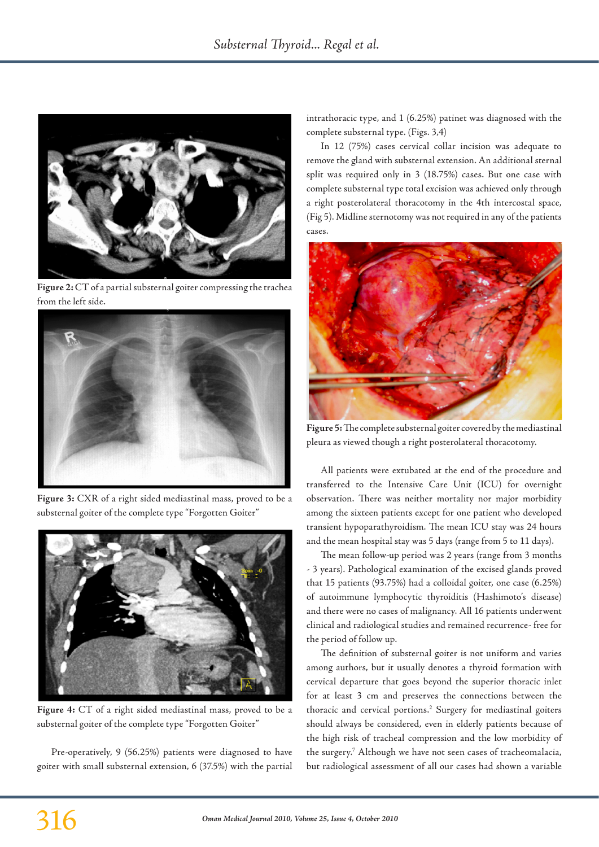

**Figure 2:** CT of a partial substernal goiter compressing the trachea from the left side.



**Figure 3:** CXR of a right sided mediastinal mass, proved to be a substernal goiter of the complete type "Forgotten Goiter"



**Figure 4:** CT of a right sided mediastinal mass, proved to be a substernal goiter of the complete type "Forgotten Goiter"

Pre-operatively, 9 (56.25%) patients were diagnosed to have goiter with small substernal extension, 6 (37.5%) with the partial intrathoracic type, and 1 (6.25%) patinet was diagnosed with the complete substernal type. (Figs. 3,4)

In 12 (75%) cases cervical collar incision was adequate to remove the gland with substernal extension. An additional sternal split was required only in 3 (18.75%) cases. But one case with complete substernal type total excision was achieved only through a right posterolateral thoracotomy in the 4th intercostal space, (Fig 5). Midline sternotomy was not required in any of the patients cases.



**Figure 5:** The complete substernal goiter covered by the mediastinal pleura as viewed though a right posterolateral thoracotomy.

All patients were extubated at the end of the procedure and transferred to the Intensive Care Unit (ICU) for overnight observation. There was neither mortality nor major morbidity among the sixteen patients except for one patient who developed transient hypoparathyroidism. The mean ICU stay was 24 hours and the mean hospital stay was 5 days (range from 5 to 11 days).

The mean follow-up period was 2 years (range from 3 months - 3 years). Pathological examination of the excised glands proved that 15 patients (93.75%) had a colloidal goiter, one case (6.25%) of autoimmune lymphocytic thyroiditis (Hashimoto's disease) and there were no cases of malignancy. All 16 patients underwent clinical and radiological studies and remained recurrence- free for the period of follow up.

The definition of substernal goiter is not uniform and varies among authors, but it usually denotes a thyroid formation with cervical departure that goes beyond the superior thoracic inlet for at least 3 cm and preserves the connections between the thoracic and cervical portions.<sup>2</sup> Surgery for mediastinal goiters should always be considered, even in elderly patients because of the high risk of tracheal compression and the low morbidity of the surgery.7 Although we have not seen cases of tracheomalacia, but radiological assessment of all our cases had shown a variable